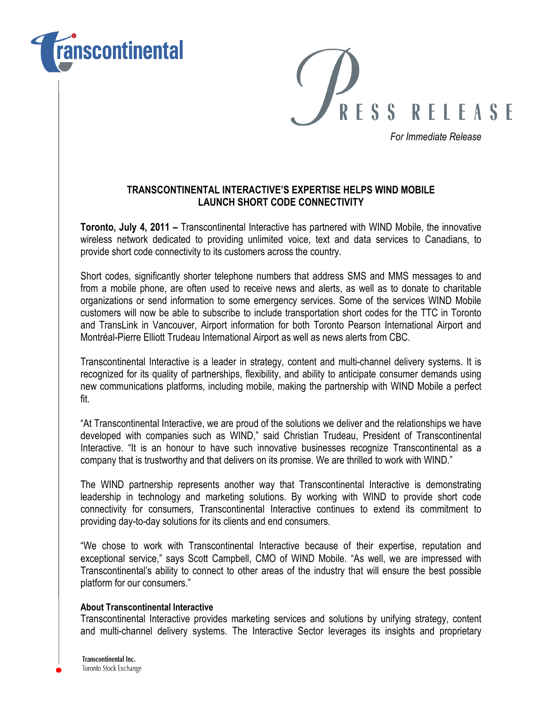



For Immediate Release

## TRANSCONTINENTAL INTERACTIVE'S EXPERTISE HELPS WIND MOBILE LAUNCH SHORT CODE CONNECTIVITY

Toronto, July 4, 2011 – Transcontinental Interactive has partnered with WIND Mobile, the innovative wireless network dedicated to providing unlimited voice, text and data services to Canadians, to provide short code connectivity to its customers across the country.

Short codes, significantly shorter telephone numbers that address SMS and MMS messages to and from a mobile phone, are often used to receive news and alerts, as well as to donate to charitable organizations or send information to some emergency services. Some of the services WIND Mobile customers will now be able to subscribe to include transportation short codes for the TTC in Toronto and TransLink in Vancouver, Airport information for both Toronto Pearson International Airport and Montréal-Pierre Elliott Trudeau International Airport as well as news alerts from CBC.

Transcontinental Interactive is a leader in strategy, content and multi-channel delivery systems. It is recognized for its quality of partnerships, flexibility, and ability to anticipate consumer demands using new communications platforms, including mobile, making the partnership with WIND Mobile a perfect fit.

"At Transcontinental Interactive, we are proud of the solutions we deliver and the relationships we have developed with companies such as WIND," said Christian Trudeau, President of Transcontinental Interactive. "It is an honour to have such innovative businesses recognize Transcontinental as a company that is trustworthy and that delivers on its promise. We are thrilled to work with WIND."

The WIND partnership represents another way that Transcontinental Interactive is demonstrating leadership in technology and marketing solutions. By working with WIND to provide short code connectivity for consumers, Transcontinental Interactive continues to extend its commitment to providing day-to-day solutions for its clients and end consumers.

"We chose to work with Transcontinental Interactive because of their expertise, reputation and exceptional service," says Scott Campbell, CMO of WIND Mobile. "As well, we are impressed with Transcontinental's ability to connect to other areas of the industry that will ensure the best possible platform for our consumers."

## About Transcontinental Interactive

Transcontinental Interactive provides marketing services and solutions by unifying strategy, content and multi-channel delivery systems. The Interactive Sector leverages its insights and proprietary